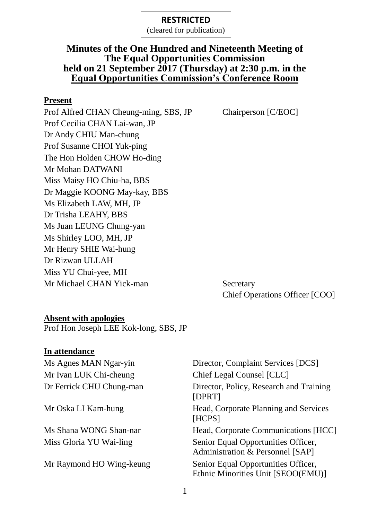(cleared for publication)

## **Minutes of the One Hundred and Nineteenth Meeting of The Equal Opportunities Commission held on 21 September 2017 (Thursday) at 2:30 p.m. in the Equal Opportunities Commission's Conference Room**

#### **Present**

Prof Alfred CHAN Cheung-ming, SBS, JP Chairperson [C/EOC] Prof Cecilia CHAN Lai-wan, JP Dr Andy CHIU Man-chung Prof Susanne CHOI Yuk-ping The Hon Holden CHOW Ho-ding Mr Mohan DATWANI Miss Maisy HO Chiu-ha, BBS Dr Maggie KOONG May-kay, BBS Ms Elizabeth LAW, MH, JP Dr Trisha LEAHY, BBS Ms Juan LEUNG Chung-yan Ms Shirley LOO, MH, JP Mr Henry SHIE Wai-hung Dr Rizwan ULLAH Miss YU Chui-yee, MH Mr Michael CHAN Yick-man Secretary

Chief Operations Officer [COO]

#### **Absent with apologies**

Prof Hon Joseph LEE Kok-long, SBS, JP

#### **In attendance**

Mr Ivan LUK Chi-cheung Chief Legal Counsel [CLC]

Ms Agnes MAN Ngar-yin Director, Complaint Services [DCS] Dr Ferrick CHU Chung-man Director, Policy, Research and Training [DPRT] Mr Oska LI Kam-hung Head, Corporate Planning and Services [HCPS] Ms Shana WONG Shan-nar Head, Corporate Communications [HCC] Miss Gloria YU Wai-ling Senior Equal Opportunities Officer, Administration & Personnel [SAP] Mr Raymond HO Wing-keung Senior Equal Opportunities Officer, Ethnic Minorities Unit [SEOO(EMU)]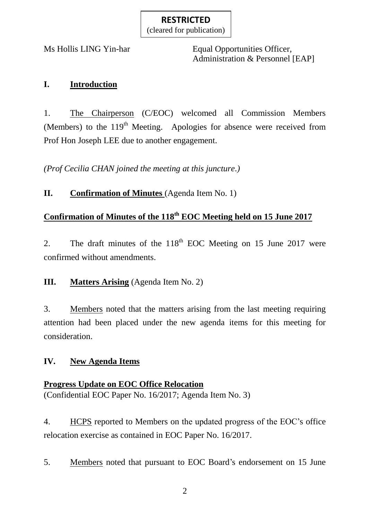(cleared for publication)

Ms Hollis LING Yin-har Equal Opportunities Officer, Administration & Personnel [EAP]

## **I. Introduction**

1. The Chairperson (C/EOC) welcomed all Commission Members (Members) to the  $119<sup>th</sup>$  Meeting. Apologies for absence were received from Prof Hon Joseph LEE due to another engagement.

*(Prof Cecilia CHAN joined the meeting at this juncture.)*

**II. Confirmation of Minutes** (Agenda Item No. 1)

## **Confirmation of Minutes of the 118 th EOC Meeting held on 15 June 2017**

2. The draft minutes of the  $118<sup>th</sup>$  EOC Meeting on 15 June 2017 were confirmed without amendments.

## **III. Matters Arising** (Agenda Item No. 2)

3. Members noted that the matters arising from the last meeting requiring attention had been placed under the new agenda items for this meeting for consideration.

## **IV. New Agenda Items**

## **Progress Update on EOC Office Relocation**

(Confidential EOC Paper No. 16/2017; Agenda Item No. 3)

4. HCPS reported to Members on the updated progress of the EOC's office relocation exercise as contained in EOC Paper No. 16/2017.

5. Members noted that pursuant to EOC Board's endorsement on 15 June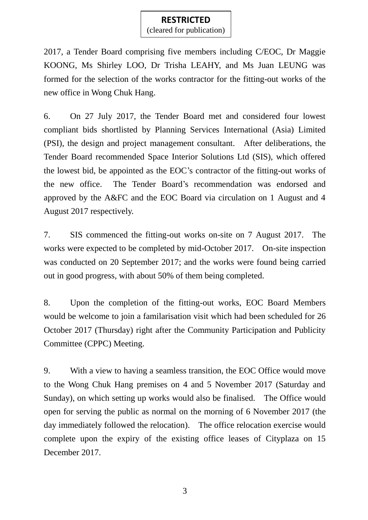(cleared for publication)

2017, a Tender Board comprising five members including C/EOC, Dr Maggie KOONG, Ms Shirley LOO, Dr Trisha LEAHY, and Ms Juan LEUNG was formed for the selection of the works contractor for the fitting-out works of the new office in Wong Chuk Hang.

6. On 27 July 2017, the Tender Board met and considered four lowest compliant bids shortlisted by Planning Services International (Asia) Limited (PSI), the design and project management consultant. After deliberations, the Tender Board recommended Space Interior Solutions Ltd (SIS), which offered the lowest bid, be appointed as the EOC's contractor of the fitting-out works of the new office. The Tender Board's recommendation was endorsed and approved by the A&FC and the EOC Board via circulation on 1 August and 4 August 2017 respectively.

7. SIS commenced the fitting-out works on-site on 7 August 2017. The works were expected to be completed by mid-October 2017. On-site inspection was conducted on 20 September 2017; and the works were found being carried out in good progress, with about 50% of them being completed.

8. Upon the completion of the fitting-out works, EOC Board Members would be welcome to join a familarisation visit which had been scheduled for 26 October 2017 (Thursday) right after the Community Participation and Publicity Committee (CPPC) Meeting.

9. With a view to having a seamless transition, the EOC Office would move to the Wong Chuk Hang premises on 4 and 5 November 2017 (Saturday and Sunday), on which setting up works would also be finalised. The Office would open for serving the public as normal on the morning of 6 November 2017 (the day immediately followed the relocation). The office relocation exercise would complete upon the expiry of the existing office leases of Cityplaza on 15 December 2017.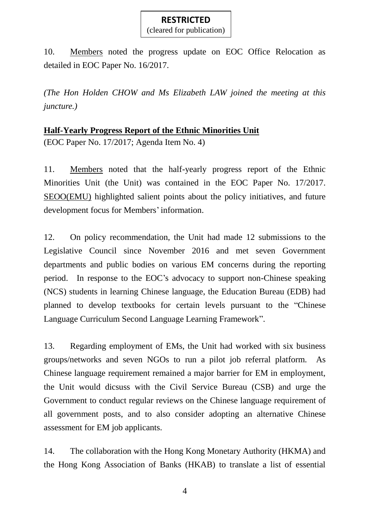(cleared for publication)

10. Members noted the progress update on EOC Office Relocation as detailed in EOC Paper No. 16/2017.

*(The Hon Holden CHOW and Ms Elizabeth LAW joined the meeting at this juncture.)*

#### **Half-Yearly Progress Report of the Ethnic Minorities Unit**

(EOC Paper No. 17/2017; Agenda Item No. 4)

11. Members noted that the half-yearly progress report of the Ethnic Minorities Unit (the Unit) was contained in the EOC Paper No. 17/2017. SEOO(EMU) highlighted salient points about the policy initiatives, and future development focus for Members'information.

12. On policy recommendation, the Unit had made 12 submissions to the Legislative Council since November 2016 and met seven Government departments and public bodies on various EM concerns during the reporting period. In response to the EOC's advocacy to support non-Chinese speaking (NCS) students in learning Chinese language, the Education Bureau (EDB) had planned to develop textbooks for certain levels pursuant to the "Chinese Language Curriculum Second Language Learning Framework".

13. Regarding employment of EMs, the Unit had worked with six business groups/networks and seven NGOs to run a pilot job referral platform. As Chinese language requirement remained a major barrier for EM in employment, the Unit would dicsuss with the Civil Service Bureau (CSB) and urge the Government to conduct regular reviews on the Chinese language requirement of all government posts, and to also consider adopting an alternative Chinese assessment for EM job applicants.

14. The collaboration with the Hong Kong Monetary Authority (HKMA) and the Hong Kong Association of Banks (HKAB) to translate a list of essential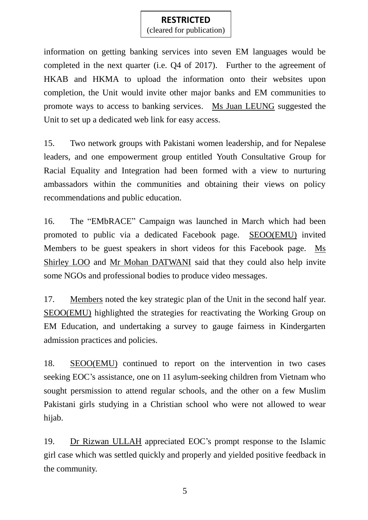(cleared for publication)

information on getting banking services into seven EM languages would be completed in the next quarter (i.e. Q4 of 2017). Further to the agreement of HKAB and HKMA to upload the information onto their websites upon completion, the Unit would invite other major banks and EM communities to promote ways to access to banking services. Ms Juan LEUNG suggested the Unit to set up a dedicated web link for easy access.

15. Two network groups with Pakistani women leadership, and for Nepalese leaders, and one empowerment group entitled Youth Consultative Group for Racial Equality and Integration had been formed with a view to nurturing ambassadors within the communities and obtaining their views on policy recommendations and public education.

16. The "EMbRACE" Campaign was launched in March which had been promoted to public via a dedicated Facebook page. SEOO(EMU) invited Members to be guest speakers in short videos for this Facebook page. Ms Shirley LOO and Mr Mohan DATWANI said that they could also help invite some NGOs and professional bodies to produce video messages.

17. Members noted the key strategic plan of the Unit in the second half year. SEOO(EMU) highlighted the strategies for reactivating the Working Group on EM Education, and undertaking a survey to gauge fairness in Kindergarten admission practices and policies.

18. SEOO(EMU) continued to report on the intervention in two cases seeking EOC's assistance, one on 11 asylum-seeking children from Vietnam who sought persmission to attend regular schools, and the other on a few Muslim Pakistani girls studying in a Christian school who were not allowed to wear hijab.

19. Dr Rizwan ULLAH appreciated EOC's prompt response to the Islamic girl case which was settled quickly and properly and yielded positive feedback in the community.

5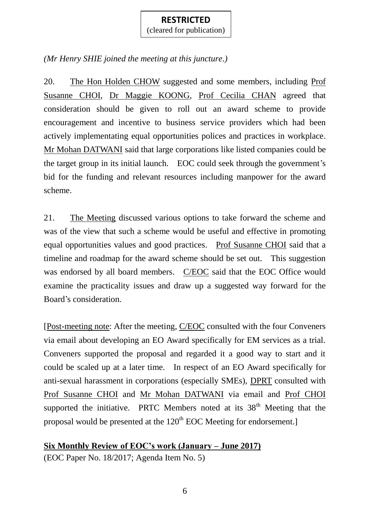(cleared for publication)

*(Mr Henry SHIE joined the meeting at this juncture.)*

20. The Hon Holden CHOW suggested and some members, including Prof Susanne CHOI, Dr Maggie KOONG, Prof Cecilia CHAN agreed that consideration should be given to roll out an award scheme to provide encouragement and incentive to business service providers which had been actively implementating equal opportunities polices and practices in workplace. Mr Mohan DATWANI said that large corporations like listed companies could be the target group in its initial launch. EOC could seek through the government's bid for the funding and relevant resources including manpower for the award scheme.

21. The Meeting discussed various options to take forward the scheme and was of the view that such a scheme would be useful and effective in promoting equal opportunities values and good practices. Prof Susanne CHOI said that a timeline and roadmap for the award scheme should be set out. This suggestion was endorsed by all board members. C/EOC said that the EOC Office would examine the practicality issues and draw up a suggested way forward for the Board's consideration.

[Post-meeting note: After the meeting, C/EOC consulted with the four Conveners via email about developing an EO Award specifically for EM services as a trial. Conveners supported the proposal and regarded it a good way to start and it could be scaled up at a later time. In respect of an EO Award specifically for anti-sexual harassment in corporations (especially SMEs), DPRT consulted with Prof Susanne CHOI and Mr Mohan DATWANI via email and Prof CHOI supported the initiative. PRTC Members noted at its  $38<sup>th</sup>$  Meeting that the proposal would be presented at the  $120<sup>th</sup>$  EOC Meeting for endorsement.]

**Six Monthly Review of EOC's work (January – June 2017)**

(EOC Paper No. 18/2017; Agenda Item No. 5)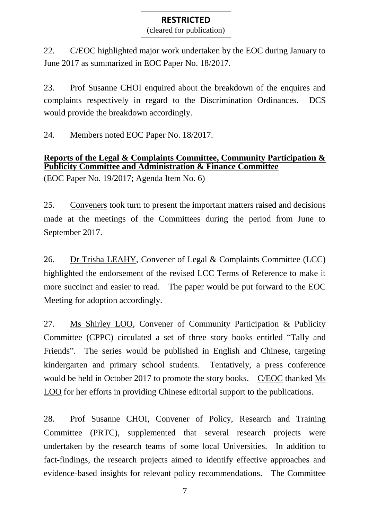(cleared for publication)

22. C/EOC highlighted major work undertaken by the EOC during January to June 2017 as summarized in EOC Paper No. 18/2017.

23. Prof Susanne CHOI enquired about the breakdown of the enquires and complaints respectively in regard to the Discrimination Ordinances. DCS would provide the breakdown accordingly.

24. Members noted EOC Paper No. 18/2017.

## **Reports of the Legal & Complaints Committee, Community Participation & Publicity Committee and Administration & Finance Committee**

(EOC Paper No. 19/2017; Agenda Item No. 6)

25. Conveners took turn to present the important matters raised and decisions made at the meetings of the Committees during the period from June to September 2017.

26. Dr Trisha LEAHY, Convener of Legal & Complaints Committee (LCC) highlighted the endorsement of the revised LCC Terms of Reference to make it more succinct and easier to read. The paper would be put forward to the EOC Meeting for adoption accordingly.

27. Ms Shirley LOO, Convener of Community Participation & Publicity Committee (CPPC) circulated a set of three story books entitled "Tally and Friends". The series would be published in English and Chinese, targeting kindergarten and primary school students. Tentatively, a press conference would be held in October 2017 to promote the story books. C/EOC thanked Ms LOO for her efforts in providing Chinese editorial support to the publications.

28. Prof Susanne CHOI, Convener of Policy, Research and Training Committee (PRTC), supplemented that several research projects were undertaken by the research teams of some local Universities. In addition to fact-findings, the research projects aimed to identify effective approaches and evidence-based insights for relevant policy recommendations. The Committee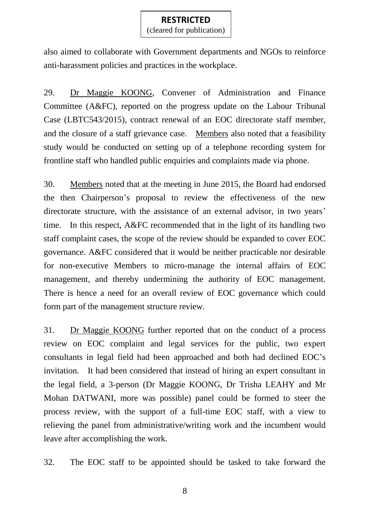(cleared for publication)

also aimed to collaborate with Government departments and NGOs to reinforce anti-harassment policies and practices in the workplace.

29. Dr Maggie KOONG, Convener of Administration and Finance Committee (A&FC), reported on the progress update on the Labour Tribunal Case (LBTC543/2015), contract renewal of an EOC directorate staff member, and the closure of a staff grievance case. Members also noted that a feasibility study would be conducted on setting up of a telephone recording system for frontline staff who handled public enquiries and complaints made via phone.

30. Members noted that at the meeting in June 2015, the Board had endorsed the then Chairperson's proposal to review the effectiveness of the new directorate structure, with the assistance of an external advisor, in two years' time. In this respect, A&FC recommended that in the light of its handling two staff complaint cases, the scope of the review should be expanded to cover EOC governance. A&FC considered that it would be neither practicable nor desirable for non-executive Members to micro-manage the internal affairs of EOC management, and thereby undermining the authority of EOC management. There is hence a need for an overall review of EOC governance which could form part of the management structure review.

31. Dr Maggie KOONG further reported that on the conduct of a process review on EOC complaint and legal services for the public, two expert consultants in legal field had been approached and both had declined EOC's invitation. It had been considered that instead of hiring an expert consultant in the legal field, a 3-person (Dr Maggie KOONG, Dr Trisha LEAHY and Mr Mohan DATWANI, more was possible) panel could be formed to steer the process review, with the support of a full-time EOC staff, with a view to relieving the panel from administrative/writing work and the incumbent would leave after accomplishing the work.

32. The EOC staff to be appointed should be tasked to take forward the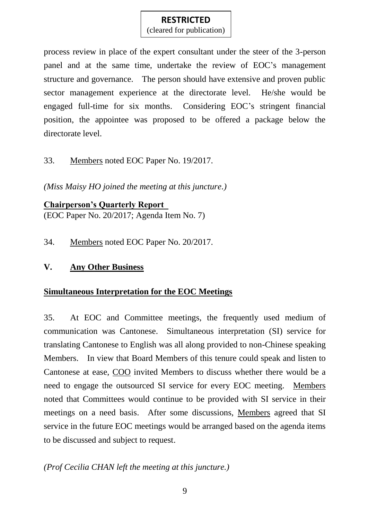(cleared for publication)

process review in place of the expert consultant under the steer of the 3-person panel and at the same time, undertake the review of EOC's management structure and governance. The person should have extensive and proven public sector management experience at the directorate level. He/she would be engaged full-time for six months. Considering EOC's stringent financial position, the appointee was proposed to be offered a package below the directorate level.

#### 33. Members noted EOC Paper No. 19/2017.

*(Miss Maisy HO joined the meeting at this juncture.)*

**Chairperson's Quarterly Report**  (EOC Paper No. 20/2017; Agenda Item No. 7)

34. Members noted EOC Paper No. 20/2017.

## **V. Any Other Business**

## **Simultaneous Interpretation for the EOC Meetings**

35. At EOC and Committee meetings, the frequently used medium of communication was Cantonese. Simultaneous interpretation (SI) service for translating Cantonese to English was all along provided to non-Chinese speaking Members. In view that Board Members of this tenure could speak and listen to Cantonese at ease, COO invited Members to discuss whether there would be a need to engage the outsourced SI service for every EOC meeting. Members noted that Committees would continue to be provided with SI service in their meetings on a need basis. After some discussions, Members agreed that SI service in the future EOC meetings would be arranged based on the agenda items to be discussed and subject to request.

## *(Prof Cecilia CHAN left the meeting at this juncture.)*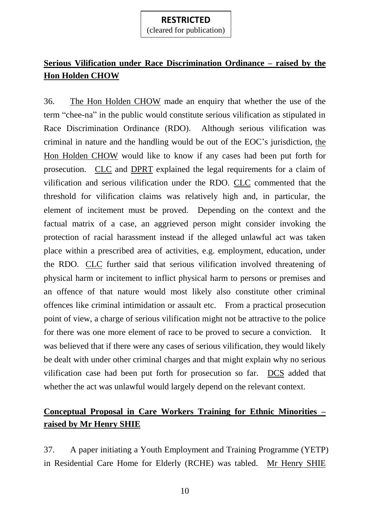(cleared for publication)

# **Serious Vilification under Race Discrimination Ordinance – raised by the Hon Holden CHOW**

36. The Hon Holden CHOW made an enquiry that whether the use of the term "chee-na" in the public would constitute serious vilification as stipulated in Race Discrimination Ordinance (RDO). Although serious vilification was criminal in nature and the handling would be out of the EOC's jurisdiction, the Hon Holden CHOW would like to know if any cases had been put forth for prosecution. CLC and DPRT explained the legal requirements for a claim of vilification and serious vilification under the RDO. CLC commented that the threshold for vilification claims was relatively high and, in particular, the element of incitement must be proved. Depending on the context and the factual matrix of a case, an aggrieved person might consider invoking the protection of racial harassment instead if the alleged unlawful act was taken place within a prescribed area of activities, e.g. employment, education, under the RDO. CLC further said that serious vilification involved threatening of physical harm or incitement to inflict physical harm to persons or premises and an offence of that nature would most likely also constitute other criminal offences like criminal intimidation or assault etc. From a practical prosecution point of view, a charge of serious vilification might not be attractive to the police for there was one more element of race to be proved to secure a conviction. It was believed that if there were any cases of serious vilification, they would likely be dealt with under other criminal charges and that might explain why no serious vilification case had been put forth for prosecution so far. DCS added that whether the act was unlawful would largely depend on the relevant context.

# **Conceptual Proposal in Care Workers Training for Ethnic Minorities – raised by Mr Henry SHIE**

37. A paper initiating a Youth Employment and Training Programme (YETP) in Residential Care Home for Elderly (RCHE) was tabled. Mr Henry SHIE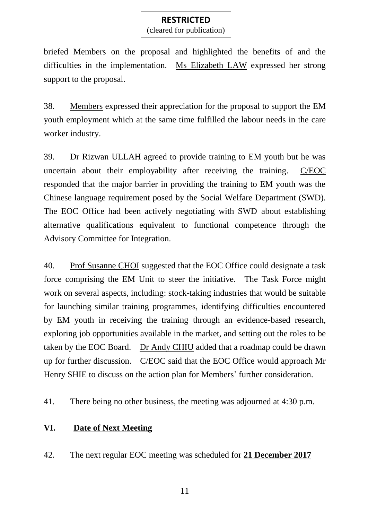(cleared for publication)

briefed Members on the proposal and highlighted the benefits of and the difficulties in the implementation. Ms Elizabeth LAW expressed her strong support to the proposal.

38. Members expressed their appreciation for the proposal to support the EM youth employment which at the same time fulfilled the labour needs in the care worker industry.

39. Dr Rizwan ULLAH agreed to provide training to EM youth but he was uncertain about their employability after receiving the training. C/EOC responded that the major barrier in providing the training to EM youth was the Chinese language requirement posed by the Social Welfare Department (SWD). The EOC Office had been actively negotiating with SWD about establishing alternative qualifications equivalent to functional competence through the Advisory Committee for Integration.

40. Prof Susanne CHOI suggested that the EOC Office could designate a task force comprising the EM Unit to steer the initiative. The Task Force might work on several aspects, including: stock-taking industries that would be suitable for launching similar training programmes, identifying difficulties encountered by EM youth in receiving the training through an evidence-based research, exploring job opportunities available in the market, and setting out the roles to be taken by the EOC Board. Dr Andy CHIU added that a roadmap could be drawn up for further discussion. C/EOC said that the EOC Office would approach Mr Henry SHIE to discuss on the action plan for Members' further consideration.

41. There being no other business, the meeting was adjourned at 4:30 p.m.

## **VI. Date of Next Meeting**

42. The next regular EOC meeting was scheduled for **21 December 2017**